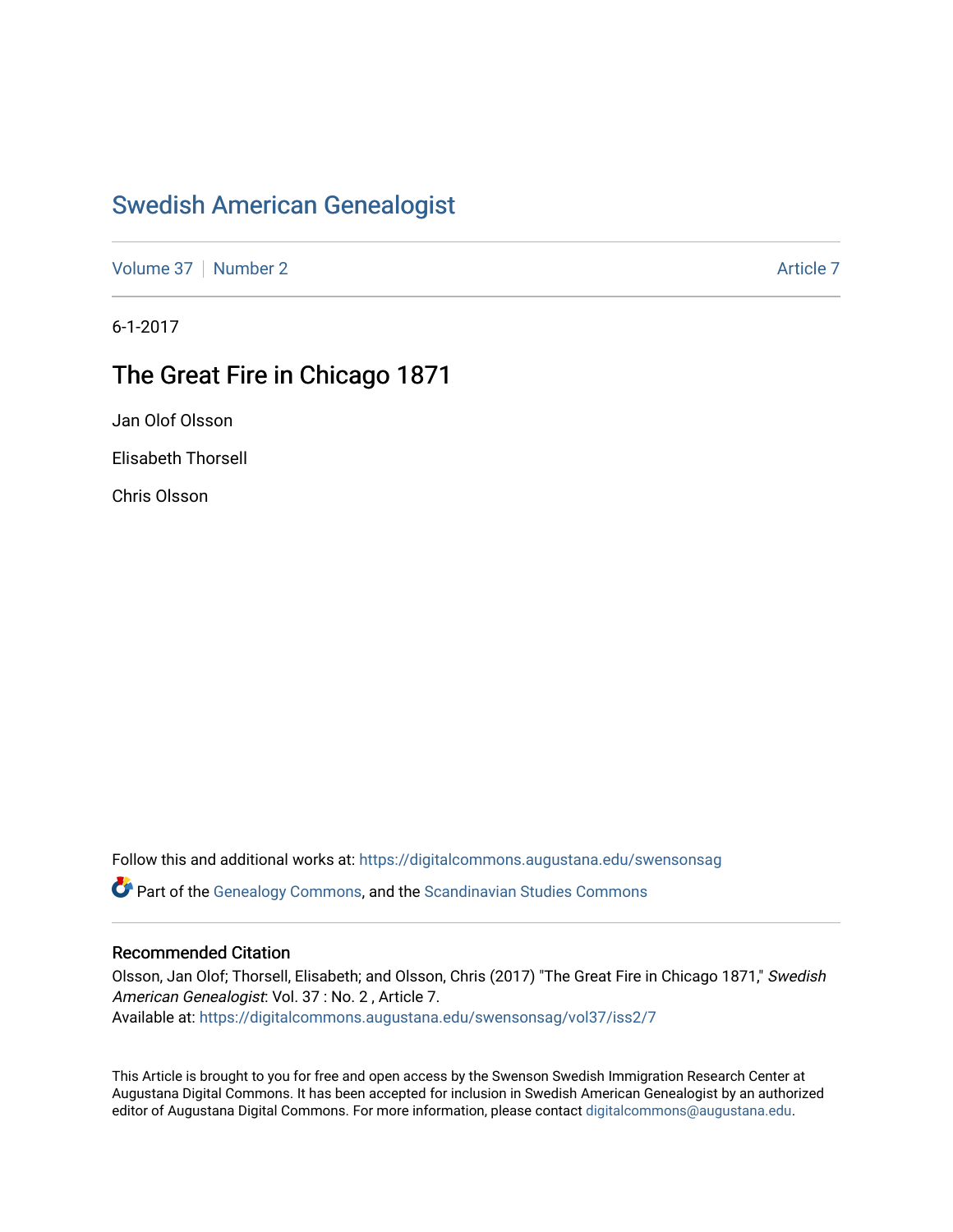## [Swedish American Genealogist](https://digitalcommons.augustana.edu/swensonsag)

[Volume 37](https://digitalcommons.augustana.edu/swensonsag/vol37) | [Number 2](https://digitalcommons.augustana.edu/swensonsag/vol37/iss2) [Article 7](https://digitalcommons.augustana.edu/swensonsag/vol37/iss2/7) Article 7 Article 7

6-1-2017

## The Great Fire in Chicago 1871

Jan Olof Olsson

Elisabeth Thorsell

Chris Olsson

Follow this and additional works at: [https://digitalcommons.augustana.edu/swensonsag](https://digitalcommons.augustana.edu/swensonsag?utm_source=digitalcommons.augustana.edu%2Fswensonsag%2Fvol37%2Fiss2%2F7&utm_medium=PDF&utm_campaign=PDFCoverPages)  Part of the [Genealogy Commons,](http://network.bepress.com/hgg/discipline/1342?utm_source=digitalcommons.augustana.edu%2Fswensonsag%2Fvol37%2Fiss2%2F7&utm_medium=PDF&utm_campaign=PDFCoverPages) and the [Scandinavian Studies Commons](http://network.bepress.com/hgg/discipline/485?utm_source=digitalcommons.augustana.edu%2Fswensonsag%2Fvol37%2Fiss2%2F7&utm_medium=PDF&utm_campaign=PDFCoverPages)

#### Recommended Citation

Olsson, Jan Olof; Thorsell, Elisabeth; and Olsson, Chris (2017) "The Great Fire in Chicago 1871," Swedish American Genealogist: Vol. 37 : No. 2 , Article 7. Available at: [https://digitalcommons.augustana.edu/swensonsag/vol37/iss2/7](https://digitalcommons.augustana.edu/swensonsag/vol37/iss2/7?utm_source=digitalcommons.augustana.edu%2Fswensonsag%2Fvol37%2Fiss2%2F7&utm_medium=PDF&utm_campaign=PDFCoverPages) 

This Article is brought to you for free and open access by the Swenson Swedish Immigration Research Center at Augustana Digital Commons. It has been accepted for inclusion in Swedish American Genealogist by an authorized editor of Augustana Digital Commons. For more information, please contact [digitalcommons@augustana.edu.](mailto:digitalcommons@augustana.edu)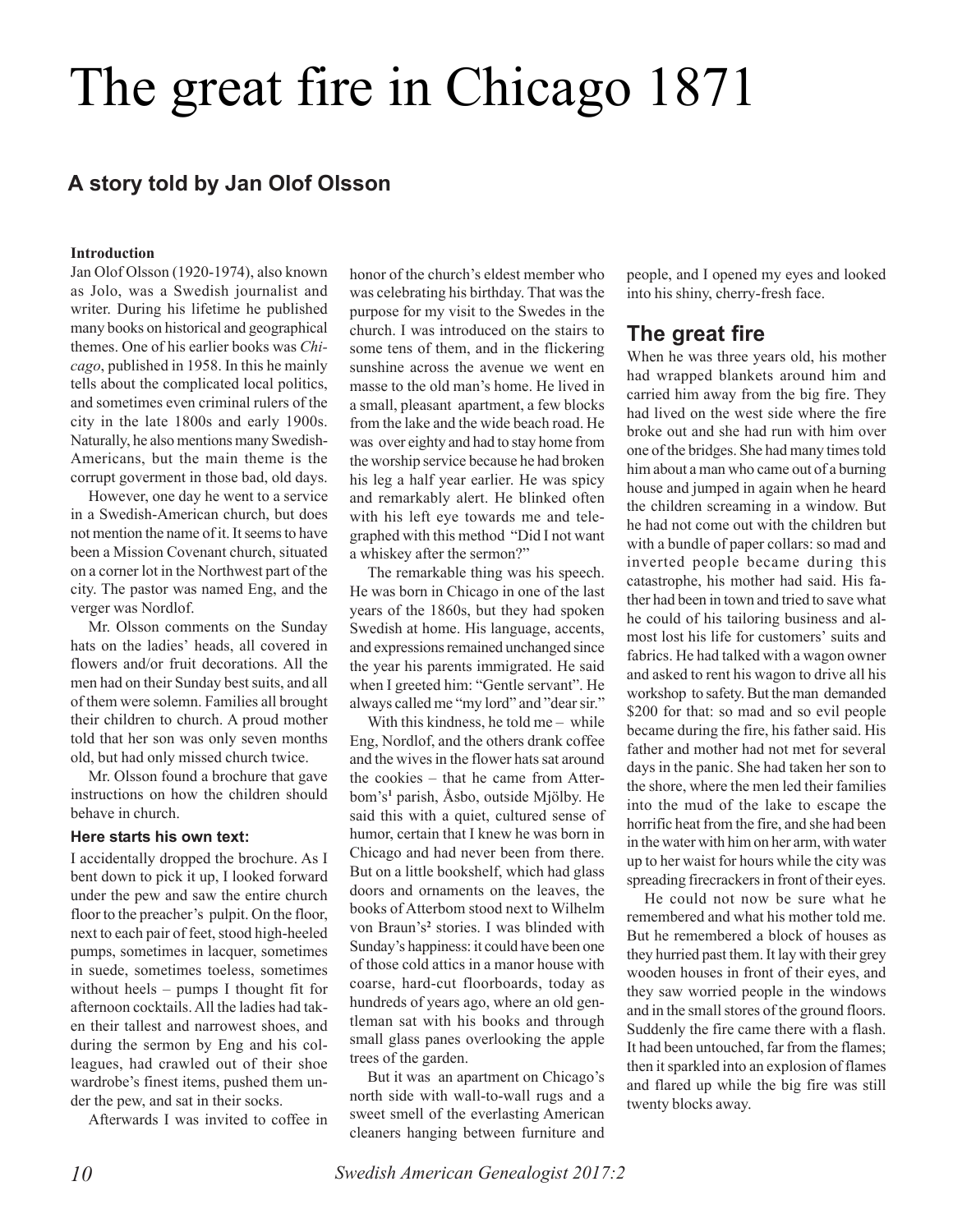# The great fire in Chicago 1871

## **A story told by Jan Olof Olsson**

#### **Introduction**

Jan Olof Olsson (1920-1974), also known as Jolo, was a Swedish journalist and writer. During his lifetime he published many books on historical and geographical themes. One of his earlier books was *Chicago*, published in 1958. In this he mainly tells about the complicated local politics, and sometimes even criminal rulers of the city in the late 1800s and early 1900s. Naturally, he also mentions many Swedish-Americans, but the main theme is the corrupt goverment in those bad, old days.

However, one day he went to a service in a Swedish-American church, but does not mention the name of it. It seems to have been a Mission Covenant church, situated on a corner lot in the Northwest part of the city. The pastor was named Eng, and the verger was Nordlof.

Mr. Olsson comments on the Sunday hats on the ladies' heads, all covered in flowers and/or fruit decorations. All the men had on their Sunday best suits, and all of them were solemn. Families all brought their children to church. A proud mother told that her son was only seven months old, but had only missed church twice.

Mr. Olsson found a brochure that gave instructions on how the children should behave in church.

#### **Here starts his own text:**

I accidentally dropped the brochure. As I bent down to pick it up, I looked forward under the pew and saw the entire church floor to the preacher's pulpit. On the floor, next to each pair of feet, stood high-heeled pumps, sometimes in lacquer, sometimes in suede, sometimes toeless, sometimes without heels – pumps I thought fit for afternoon cocktails. All the ladies had taken their tallest and narrowest shoes, and during the sermon by Eng and his colleagues, had crawled out of their shoe wardrobe's finest items, pushed them under the pew, and sat in their socks.

Afterwards I was invited to coffee in

honor of the church's eldest member who was celebrating his birthday. That was the purpose for my visit to the Swedes in the church. I was introduced on the stairs to some tens of them, and in the flickering sunshine across the avenue we went en masse to the old man's home. He lived in a small, pleasant apartment, a few blocks from the lake and the wide beach road. He was over eighty and had to stay home from the worship service because he had broken his leg a half year earlier. He was spicy and remarkably alert. He blinked often with his left eye towards me and telegraphed with this method "Did I not want a whiskey after the sermon?"

The remarkable thing was his speech. He was born in Chicago in one of the last years of the 1860s, but they had spoken Swedish at home. His language, accents, and expressions remained unchanged since the year his parents immigrated. He said when I greeted him: "Gentle servant". He always called me "my lord" and "dear sir."

With this kindness, he told me – while Eng, Nordlof, and the others drank coffee and the wives in the flower hats sat around the cookies – that he came from Atterbom's**<sup>1</sup>** parish, Åsbo, outside Mjölby. He said this with a quiet, cultured sense of humor, certain that I knew he was born in Chicago and had never been from there. But on a little bookshelf, which had glass doors and ornaments on the leaves, the books of Atterbom stood next to Wilhelm von Braun's<sup>2</sup> stories. I was blinded with Sunday's happiness: it could have been one of those cold attics in a manor house with coarse, hard-cut floorboards, today as hundreds of years ago, where an old gentleman sat with his books and through small glass panes overlooking the apple trees of the garden.

But it was an apartment on Chicago's north side with wall-to-wall rugs and a sweet smell of the everlasting American cleaners hanging between furniture and

people, and I opened my eyes and looked into his shiny, cherry-fresh face.

### **The great fire**

When he was three years old, his mother had wrapped blankets around him and carried him away from the big fire. They had lived on the west side where the fire broke out and she had run with him over one of the bridges. She had many times told him about a man who came out of a burning house and jumped in again when he heard the children screaming in a window. But he had not come out with the children but with a bundle of paper collars: so mad and inverted people became during this catastrophe, his mother had said. His father had been in town and tried to save what he could of his tailoring business and almost lost his life for customers' suits and fabrics. He had talked with a wagon owner and asked to rent his wagon to drive all his workshop to safety. But the man demanded \$200 for that: so mad and so evil people became during the fire, his father said. His father and mother had not met for several days in the panic. She had taken her son to the shore, where the men led their families into the mud of the lake to escape the horrific heat from the fire, and she had been in the water with him on her arm, with water up to her waist for hours while the city was spreading firecrackers in front of their eyes.

He could not now be sure what he remembered and what his mother told me. But he remembered a block of houses as they hurried past them. It lay with their grey wooden houses in front of their eyes, and they saw worried people in the windows and in the small stores of the ground floors. Suddenly the fire came there with a flash. It had been untouched, far from the flames; then it sparkled into an explosion of flames and flared up while the big fire was still twenty blocks away.